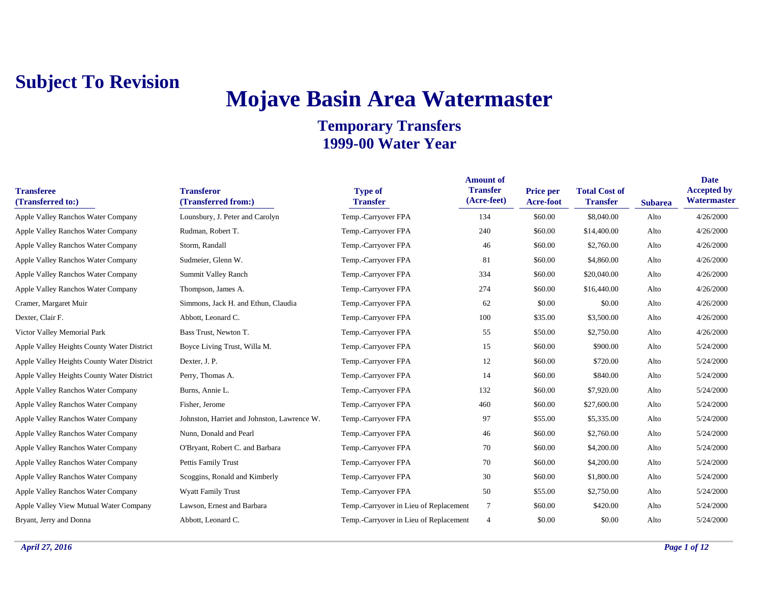# **Mojave Basin Area Watermaster**

| <b>Transferee</b><br>(Transferred to:)     | <b>Transferor</b><br>(Transferred from:)    | <b>Type of</b><br><b>Transfer</b>      | <b>Amount of</b><br><b>Transfer</b><br>(Acre-feet) | Price per<br>Acre-foot | <b>Total Cost of</b><br><b>Transfer</b> | <b>Subarea</b> | <b>Date</b><br><b>Accepted by</b><br>Watermaster |
|--------------------------------------------|---------------------------------------------|----------------------------------------|----------------------------------------------------|------------------------|-----------------------------------------|----------------|--------------------------------------------------|
| Apple Valley Ranchos Water Company         | Lounsbury, J. Peter and Carolyn             | Temp.-Carryover FPA                    | 134                                                | \$60.00                | \$8,040.00                              | Alto           | 4/26/2000                                        |
| Apple Valley Ranchos Water Company         | Rudman, Robert T.                           | Temp.-Carryover FPA                    | 240                                                | \$60.00                | \$14,400.00                             | Alto           | 4/26/2000                                        |
| Apple Valley Ranchos Water Company         | Storm, Randall                              | Temp.-Carryover FPA                    | 46                                                 | \$60.00                | \$2,760.00                              | Alto           | 4/26/2000                                        |
| Apple Valley Ranchos Water Company         | Sudmeier, Glenn W.                          | Temp.-Carryover FPA                    | 81                                                 | \$60.00                | \$4,860.00                              | Alto           | 4/26/2000                                        |
| Apple Valley Ranchos Water Company         | Summit Valley Ranch                         | Temp.-Carryover FPA                    | 334                                                | \$60.00                | \$20,040.00                             | Alto           | 4/26/2000                                        |
| Apple Valley Ranchos Water Company         | Thompson, James A.                          | Temp.-Carryover FPA                    | 274                                                | \$60.00                | \$16,440.00                             | Alto           | 4/26/2000                                        |
| Cramer, Margaret Muir                      | Simmons, Jack H. and Ethun, Claudia         | Temp.-Carryover FPA                    | 62                                                 | \$0.00                 | \$0.00                                  | Alto           | 4/26/2000                                        |
| Dexter, Clair F.                           | Abbott, Leonard C.                          | Temp.-Carryover FPA                    | 100                                                | \$35.00                | \$3,500.00                              | Alto           | 4/26/2000                                        |
| Victor Valley Memorial Park                | Bass Trust, Newton T.                       | Temp.-Carryover FPA                    | 55                                                 | \$50.00                | \$2,750.00                              | Alto           | 4/26/2000                                        |
| Apple Valley Heights County Water District | Boyce Living Trust, Willa M.                | Temp.-Carryover FPA                    | 15                                                 | \$60.00                | \$900.00                                | Alto           | 5/24/2000                                        |
| Apple Valley Heights County Water District | Dexter, J. P.                               | Temp.-Carryover FPA                    | 12                                                 | \$60.00                | \$720.00                                | Alto           | 5/24/2000                                        |
| Apple Valley Heights County Water District | Perry, Thomas A.                            | Temp.-Carryover FPA                    | 14                                                 | \$60.00                | \$840.00                                | Alto           | 5/24/2000                                        |
| Apple Valley Ranchos Water Company         | Burns, Annie L.                             | Temp.-Carryover FPA                    | 132                                                | \$60.00                | \$7,920.00                              | Alto           | 5/24/2000                                        |
| Apple Valley Ranchos Water Company         | Fisher, Jerome                              | Temp.-Carryover FPA                    | 460                                                | \$60.00                | \$27,600.00                             | Alto           | 5/24/2000                                        |
| Apple Valley Ranchos Water Company         | Johnston, Harriet and Johnston, Lawrence W. | Temp.-Carryover FPA                    | 97                                                 | \$55.00                | \$5,335.00                              | Alto           | 5/24/2000                                        |
| Apple Valley Ranchos Water Company         | Nunn, Donald and Pearl                      | Temp.-Carryover FPA                    | 46                                                 | \$60.00                | \$2,760.00                              | Alto           | 5/24/2000                                        |
| Apple Valley Ranchos Water Company         | O'Bryant, Robert C. and Barbara             | Temp.-Carryover FPA                    | 70                                                 | \$60.00                | \$4,200.00                              | Alto           | 5/24/2000                                        |
| Apple Valley Ranchos Water Company         | Pettis Family Trust                         | Temp.-Carryover FPA                    | 70                                                 | \$60.00                | \$4,200.00                              | Alto           | 5/24/2000                                        |
| Apple Valley Ranchos Water Company         | Scoggins, Ronald and Kimberly               | Temp.-Carryover FPA                    | 30                                                 | \$60.00                | \$1,800.00                              | Alto           | 5/24/2000                                        |
| Apple Valley Ranchos Water Company         | <b>Wyatt Family Trust</b>                   | Temp.-Carryover FPA                    | 50                                                 | \$55.00                | \$2,750.00                              | Alto           | 5/24/2000                                        |
| Apple Valley View Mutual Water Company     | Lawson, Ernest and Barbara                  | Temp.-Carryover in Lieu of Replacement | $\overline{7}$                                     | \$60.00                | \$420.00                                | Alto           | 5/24/2000                                        |
| Bryant, Jerry and Donna                    | Abbott, Leonard C.                          | Temp.-Carryover in Lieu of Replacement | 4                                                  | \$0.00                 | \$0.00                                  | Alto           | 5/24/2000                                        |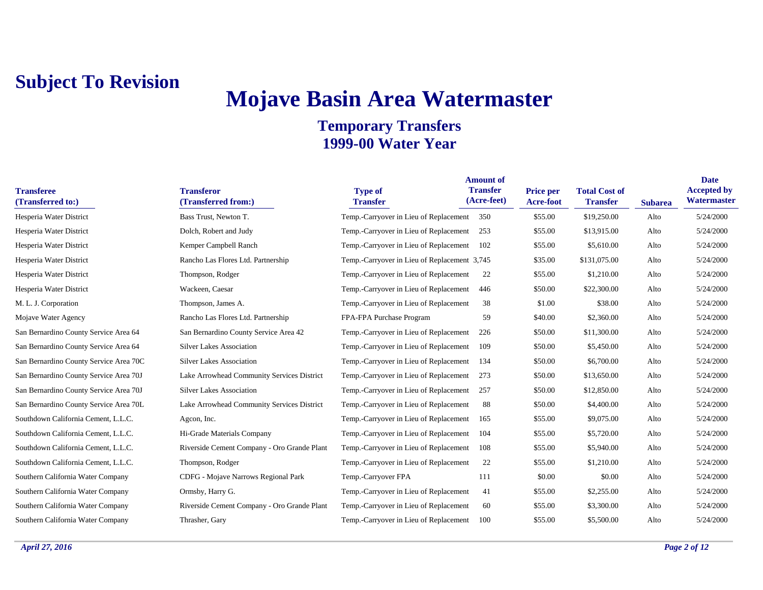# **Mojave Basin Area Watermaster**

| <b>Transferee</b><br>(Transferred to:) | <b>Transferor</b><br>(Transferred from:)    | <b>Type of</b><br><b>Transfer</b>            | <b>Amount of</b><br><b>Transfer</b><br>(Acre-feet) | <b>Price per</b><br><b>Acre-foot</b> | <b>Total Cost of</b><br><b>Transfer</b> | <b>Subarea</b> | <b>Date</b><br><b>Accepted by</b><br>Watermaster |
|----------------------------------------|---------------------------------------------|----------------------------------------------|----------------------------------------------------|--------------------------------------|-----------------------------------------|----------------|--------------------------------------------------|
| Hesperia Water District                | Bass Trust, Newton T.                       | Temp.-Carryover in Lieu of Replacement 350   |                                                    | \$55.00                              | \$19,250.00                             | Alto           | 5/24/2000                                        |
| Hesperia Water District                | Dolch, Robert and Judy                      | Temp.-Carryover in Lieu of Replacement       | 253                                                | \$55.00                              | \$13,915.00                             | Alto           | 5/24/2000                                        |
| Hesperia Water District                | Kemper Campbell Ranch                       | Temp.-Carryover in Lieu of Replacement       | 102                                                | \$55.00                              | \$5,610.00                              | Alto           | 5/24/2000                                        |
| Hesperia Water District                | Rancho Las Flores Ltd. Partnership          | Temp.-Carryover in Lieu of Replacement 3,745 |                                                    | \$35.00                              | \$131,075.00                            | Alto           | 5/24/2000                                        |
| Hesperia Water District                | Thompson, Rodger                            | Temp.-Carryover in Lieu of Replacement       | 22                                                 | \$55.00                              | \$1,210.00                              | Alto           | 5/24/2000                                        |
| Hesperia Water District                | Wackeen, Caesar                             | Temp.-Carryover in Lieu of Replacement       | 446                                                | \$50.00                              | \$22,300.00                             | Alto           | 5/24/2000                                        |
| M. L. J. Corporation                   | Thompson, James A.                          | Temp.-Carryover in Lieu of Replacement       | 38                                                 | \$1.00                               | \$38.00                                 | Alto           | 5/24/2000                                        |
| Mojave Water Agency                    | Rancho Las Flores Ltd. Partnership          | FPA-FPA Purchase Program                     | 59                                                 | \$40.00                              | \$2,360.00                              | Alto           | 5/24/2000                                        |
| San Bernardino County Service Area 64  | San Bernardino County Service Area 42       | Temp.-Carryover in Lieu of Replacement       | 226                                                | \$50.00                              | \$11,300.00                             | Alto           | 5/24/2000                                        |
| San Bernardino County Service Area 64  | <b>Silver Lakes Association</b>             | Temp.-Carryover in Lieu of Replacement       | 109                                                | \$50.00                              | \$5,450.00                              | Alto           | 5/24/2000                                        |
| San Bernardino County Service Area 70C | <b>Silver Lakes Association</b>             | Temp.-Carryover in Lieu of Replacement       | 134                                                | \$50.00                              | \$6,700.00                              | Alto           | 5/24/2000                                        |
| San Bernardino County Service Area 70J | Lake Arrowhead Community Services District  | Temp.-Carryover in Lieu of Replacement       | 273                                                | \$50.00                              | \$13,650.00                             | Alto           | 5/24/2000                                        |
| San Bernardino County Service Area 70J | <b>Silver Lakes Association</b>             | Temp.-Carryover in Lieu of Replacement       | 257                                                | \$50.00                              | \$12,850.00                             | Alto           | 5/24/2000                                        |
| San Bernardino County Service Area 70L | Lake Arrowhead Community Services District  | Temp.-Carryover in Lieu of Replacement       | 88                                                 | \$50.00                              | \$4,400.00                              | Alto           | 5/24/2000                                        |
| Southdown California Cement, L.L.C.    | Agcon, Inc.                                 | Temp.-Carryover in Lieu of Replacement       | 165                                                | \$55.00                              | \$9,075.00                              | Alto           | 5/24/2000                                        |
| Southdown California Cement, L.L.C.    | Hi-Grade Materials Company                  | Temp.-Carryover in Lieu of Replacement       | 104                                                | \$55.00                              | \$5,720.00                              | Alto           | 5/24/2000                                        |
| Southdown California Cement, L.L.C.    | Riverside Cement Company - Oro Grande Plant | Temp.-Carryover in Lieu of Replacement       | 108                                                | \$55.00                              | \$5,940.00                              | Alto           | 5/24/2000                                        |
| Southdown California Cement, L.L.C.    | Thompson, Rodger                            | Temp.-Carryover in Lieu of Replacement       | 22                                                 | \$55.00                              | \$1,210.00                              | Alto           | 5/24/2000                                        |
| Southern California Water Company      | CDFG - Mojave Narrows Regional Park         | Temp.-Carryover FPA                          | 111                                                | \$0.00                               | \$0.00                                  | Alto           | 5/24/2000                                        |
| Southern California Water Company      | Ormsby, Harry G.                            | Temp.-Carryover in Lieu of Replacement       | 41                                                 | \$55.00                              | \$2,255.00                              | Alto           | 5/24/2000                                        |
| Southern California Water Company      | Riverside Cement Company - Oro Grande Plant | Temp.-Carryover in Lieu of Replacement       | 60                                                 | \$55.00                              | \$3,300.00                              | Alto           | 5/24/2000                                        |
| Southern California Water Company      | Thrasher, Gary                              | Temp.-Carryover in Lieu of Replacement       | 100                                                | \$55.00                              | \$5,500.00                              | Alto           | 5/24/2000                                        |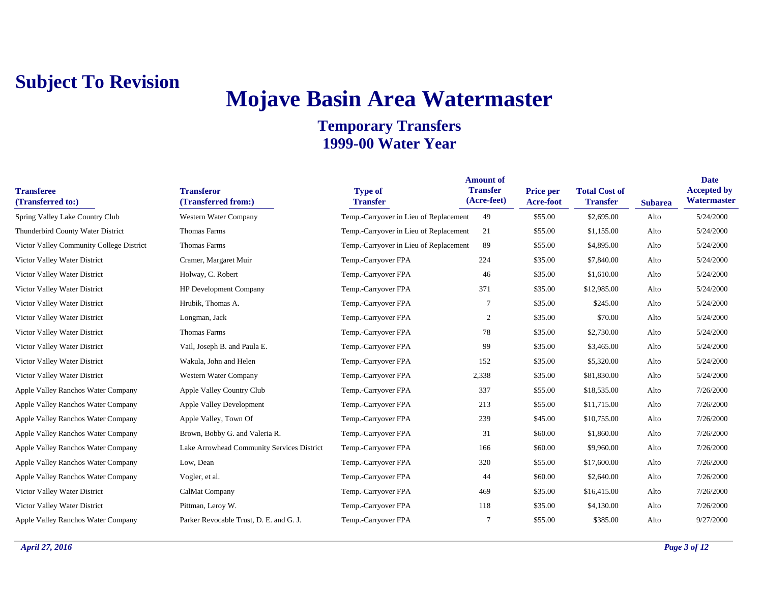# **Mojave Basin Area Watermaster**

| <b>Transferee</b><br>(Transferred to:)   | <b>Transferor</b><br>(Transferred from:)   | <b>Type of</b><br><b>Transfer</b>      | <b>Amount of</b><br><b>Transfer</b><br>(Acre-feet) | Price per<br><b>Acre-foot</b> | <b>Total Cost of</b><br><b>Transfer</b> | <b>Subarea</b> | <b>Date</b><br><b>Accepted by</b><br>Watermaster |
|------------------------------------------|--------------------------------------------|----------------------------------------|----------------------------------------------------|-------------------------------|-----------------------------------------|----------------|--------------------------------------------------|
| Spring Valley Lake Country Club          | Western Water Company                      | Temp.-Carryover in Lieu of Replacement | 49                                                 | \$55.00                       | \$2,695.00                              | Alto           | 5/24/2000                                        |
| Thunderbird County Water District        | Thomas Farms                               | Temp.-Carryover in Lieu of Replacement | 21                                                 | \$55.00                       | \$1,155.00                              | Alto           | 5/24/2000                                        |
| Victor Valley Community College District | Thomas Farms                               | Temp.-Carryover in Lieu of Replacement | -89                                                | \$55.00                       | \$4,895.00                              | Alto           | 5/24/2000                                        |
| Victor Valley Water District             | Cramer, Margaret Muir                      | Temp.-Carryover FPA                    | 224                                                | \$35.00                       | \$7,840.00                              | Alto           | 5/24/2000                                        |
| Victor Valley Water District             | Holway, C. Robert                          | Temp.-Carryover FPA                    | 46                                                 | \$35.00                       | \$1,610.00                              | Alto           | 5/24/2000                                        |
| Victor Valley Water District             | <b>HP</b> Development Company              | Temp.-Carryover FPA                    | 371                                                | \$35.00                       | \$12,985.00                             | Alto           | 5/24/2000                                        |
| Victor Valley Water District             | Hrubik, Thomas A.                          | Temp.-Carryover FPA                    |                                                    | \$35.00                       | \$245.00                                | Alto           | 5/24/2000                                        |
| Victor Valley Water District             | Longman, Jack                              | Temp.-Carryover FPA                    | 2                                                  | \$35.00                       | \$70.00                                 | Alto           | 5/24/2000                                        |
| Victor Valley Water District             | Thomas Farms                               | Temp.-Carryover FPA                    | 78                                                 | \$35.00                       | \$2,730.00                              | Alto           | 5/24/2000                                        |
| Victor Valley Water District             | Vail, Joseph B. and Paula E.               | Temp.-Carryover FPA                    | 99                                                 | \$35.00                       | \$3,465.00                              | Alto           | 5/24/2000                                        |
| Victor Valley Water District             | Wakula, John and Helen                     | Temp.-Carryover FPA                    | 152                                                | \$35.00                       | \$5,320.00                              | Alto           | 5/24/2000                                        |
| Victor Valley Water District             | Western Water Company                      | Temp.-Carryover FPA                    | 2,338                                              | \$35.00                       | \$81,830.00                             | Alto           | 5/24/2000                                        |
| Apple Valley Ranchos Water Company       | Apple Valley Country Club                  | Temp.-Carryover FPA                    | 337                                                | \$55.00                       | \$18,535.00                             | Alto           | 7/26/2000                                        |
| Apple Valley Ranchos Water Company       | <b>Apple Valley Development</b>            | Temp.-Carryover FPA                    | 213                                                | \$55.00                       | \$11,715.00                             | Alto           | 7/26/2000                                        |
| Apple Valley Ranchos Water Company       | Apple Valley, Town Of                      | Temp.-Carryover FPA                    | 239                                                | \$45.00                       | \$10,755.00                             | Alto           | 7/26/2000                                        |
| Apple Valley Ranchos Water Company       | Brown, Bobby G. and Valeria R.             | Temp.-Carryover FPA                    | 31                                                 | \$60.00                       | \$1,860.00                              | Alto           | 7/26/2000                                        |
| Apple Valley Ranchos Water Company       | Lake Arrowhead Community Services District | Temp.-Carryover FPA                    | 166                                                | \$60.00                       | \$9,960.00                              | Alto           | 7/26/2000                                        |
| Apple Valley Ranchos Water Company       | Low, Dean                                  | Temp.-Carryover FPA                    | 320                                                | \$55.00                       | \$17,600.00                             | Alto           | 7/26/2000                                        |
| Apple Valley Ranchos Water Company       | Vogler, et al.                             | Temp.-Carryover FPA                    | 44                                                 | \$60.00                       | \$2,640.00                              | Alto           | 7/26/2000                                        |
| Victor Valley Water District             | CalMat Company                             | Temp.-Carryover FPA                    | 469                                                | \$35.00                       | \$16,415.00                             | Alto           | 7/26/2000                                        |
| Victor Valley Water District             | Pittman, Leroy W.                          | Temp.-Carryover FPA                    | 118                                                | \$35.00                       | \$4,130.00                              | Alto           | 7/26/2000                                        |
| Apple Valley Ranchos Water Company       | Parker Revocable Trust, D. E. and G. J.    | Temp.-Carryover FPA                    |                                                    | \$55.00                       | \$385.00                                | Alto           | 9/27/2000                                        |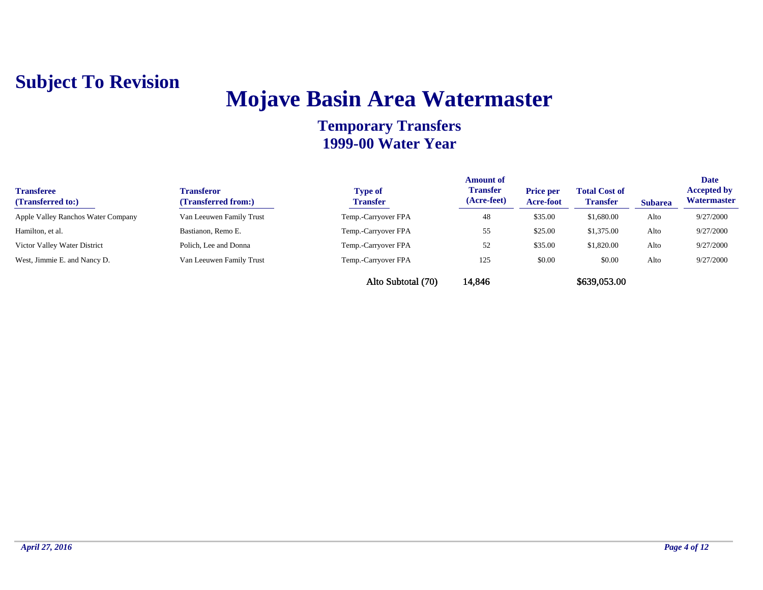## **Mojave Basin Area Watermaster**

| <b>Transferee</b><br>(Transferred to:) | <b>Transferor</b><br>(Transferred from:) | <b>Type of</b><br><b>Transfer</b> | <b>Amount of</b><br><b>Transfer</b><br>(Acre-feet) | <b>Price per</b><br>Acre-foot | <b>Total Cost of</b><br><b>Transfer</b> | <b>Subarea</b> | <b>Date</b><br><b>Accepted by</b><br>Watermaster |
|----------------------------------------|------------------------------------------|-----------------------------------|----------------------------------------------------|-------------------------------|-----------------------------------------|----------------|--------------------------------------------------|
| Apple Valley Ranchos Water Company     | Van Leeuwen Family Trust                 | Temp.-Carryover FPA               | 48                                                 | \$35.00                       | \$1,680.00                              | Alto           | 9/27/2000                                        |
| Hamilton, et al.                       | Bastianon, Remo E.                       | Temp.-Carryover FPA               | 55                                                 | \$25.00                       | \$1,375.00                              | Alto           | 9/27/2000                                        |
| Victor Valley Water District           | Polich. Lee and Donna                    | Temp.-Carryover FPA               | 52                                                 | \$35.00                       | \$1,820.00                              | Alto           | 9/27/2000                                        |
| West, Jimmie E. and Nancy D.           | Van Leeuwen Family Trust                 | Temp.-Carryover FPA               | 125                                                | \$0.00                        | \$0.00                                  | Alto           | 9/27/2000                                        |
|                                        |                                          | Alto Subtotal (70)                | 14,846                                             |                               | \$639,053.00                            |                |                                                  |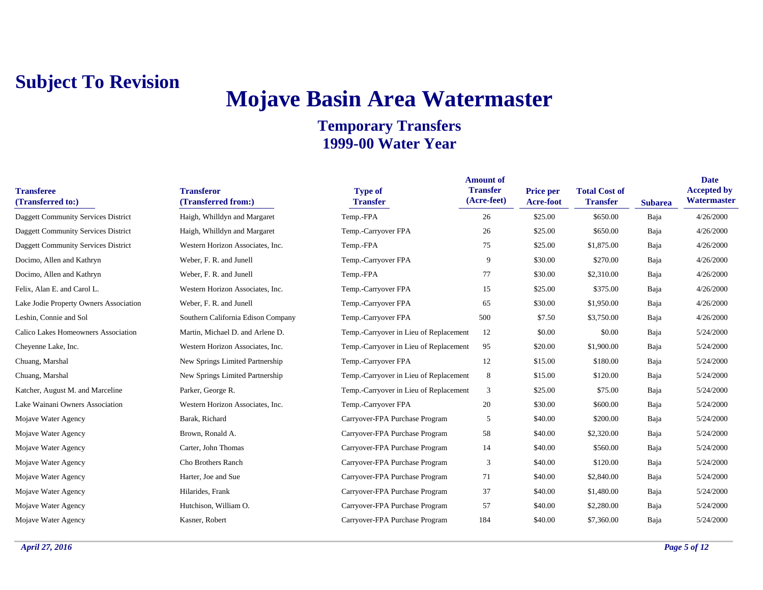## **Mojave Basin Area Watermaster**

| <b>Transferee</b><br>(Transferred to:)     | <b>Transferor</b><br>(Transferred from:) | <b>Type of</b><br><b>Transfer</b>      | <b>Amount of</b><br><b>Transfer</b><br>(Acre-feet) | Price per<br><b>Acre-foot</b> | <b>Total Cost of</b><br><b>Transfer</b> | <b>Subarea</b> | <b>Date</b><br><b>Accepted by</b><br>Watermaster |
|--------------------------------------------|------------------------------------------|----------------------------------------|----------------------------------------------------|-------------------------------|-----------------------------------------|----------------|--------------------------------------------------|
| Daggett Community Services District        | Haigh, Whilldyn and Margaret             | Temp.-FPA                              | 26                                                 | \$25.00                       | \$650.00                                | Baja           | 4/26/2000                                        |
| Daggett Community Services District        | Haigh, Whilldyn and Margaret             | Temp.-Carryover FPA                    | 26                                                 | \$25.00                       | \$650.00                                | Baja           | 4/26/2000                                        |
| <b>Daggett Community Services District</b> | Western Horizon Associates, Inc.         | Temp.-FPA                              | 75                                                 | \$25.00                       | \$1,875.00                              | Baja           | 4/26/2000                                        |
| Docimo, Allen and Kathryn                  | Weber, F. R. and Junell                  | Temp.-Carryover FPA                    | 9                                                  | \$30.00                       | \$270.00                                | Baja           | 4/26/2000                                        |
| Docimo, Allen and Kathryn                  | Weber, F. R. and Junell                  | Temp.-FPA                              | 77                                                 | \$30.00                       | \$2,310.00                              | Baja           | 4/26/2000                                        |
| Felix, Alan E. and Carol L.                | Western Horizon Associates, Inc.         | Temp.-Carryover FPA                    | 15                                                 | \$25.00                       | \$375.00                                | Baja           | 4/26/2000                                        |
| Lake Jodie Property Owners Association     | Weber, F. R. and Junell                  | Temp.-Carryover FPA                    | 65                                                 | \$30.00                       | \$1,950.00                              | Baja           | 4/26/2000                                        |
| Leshin, Connie and Sol                     | Southern California Edison Company       | Temp.-Carryover FPA                    | 500                                                | \$7.50                        | \$3,750.00                              | Baja           | 4/26/2000                                        |
| Calico Lakes Homeowners Association        | Martin, Michael D. and Arlene D.         | Temp.-Carryover in Lieu of Replacement | 12                                                 | \$0.00                        | \$0.00                                  | Baja           | 5/24/2000                                        |
| Cheyenne Lake, Inc.                        | Western Horizon Associates, Inc.         | Temp.-Carryover in Lieu of Replacement | 95                                                 | \$20.00                       | \$1,900.00                              | Baja           | 5/24/2000                                        |
| Chuang, Marshal                            | New Springs Limited Partnership          | Temp.-Carryover FPA                    | 12                                                 | \$15.00                       | \$180.00                                | Baja           | 5/24/2000                                        |
| Chuang, Marshal                            | New Springs Limited Partnership          | Temp.-Carryover in Lieu of Replacement | 8                                                  | \$15.00                       | \$120.00                                | Baja           | 5/24/2000                                        |
| Katcher, August M. and Marceline           | Parker, George R.                        | Temp.-Carryover in Lieu of Replacement | 3                                                  | \$25.00                       | \$75.00                                 | Baja           | 5/24/2000                                        |
| Lake Wainani Owners Association            | Western Horizon Associates, Inc.         | Temp.-Carryover FPA                    | 20                                                 | \$30.00                       | \$600.00                                | Baja           | 5/24/2000                                        |
| Mojave Water Agency                        | Barak, Richard                           | Carryover-FPA Purchase Program         | 5                                                  | \$40.00                       | \$200.00                                | Baja           | 5/24/2000                                        |
| Mojave Water Agency                        | Brown, Ronald A.                         | Carryover-FPA Purchase Program         | 58                                                 | \$40.00                       | \$2,320.00                              | Baja           | 5/24/2000                                        |
| Mojave Water Agency                        | Carter, John Thomas                      | Carryover-FPA Purchase Program         | 14                                                 | \$40.00                       | \$560.00                                | Baja           | 5/24/2000                                        |
| Mojave Water Agency                        | Cho Brothers Ranch                       | Carryover-FPA Purchase Program         | 3                                                  | \$40.00                       | \$120.00                                | Baja           | 5/24/2000                                        |
| Mojave Water Agency                        | Harter, Joe and Sue                      | Carryover-FPA Purchase Program         | 71                                                 | \$40.00                       | \$2,840.00                              | Baja           | 5/24/2000                                        |
| Mojave Water Agency                        | Hilarides, Frank                         | Carryover-FPA Purchase Program         | 37                                                 | \$40.00                       | \$1,480.00                              | Baja           | 5/24/2000                                        |
| Mojave Water Agency                        | Hutchison, William O.                    | Carryover-FPA Purchase Program         | 57                                                 | \$40.00                       | \$2,280.00                              | Baja           | 5/24/2000                                        |
| Mojave Water Agency                        | Kasner, Robert                           | Carryover-FPA Purchase Program         | 184                                                | \$40.00                       | \$7,360.00                              | Baja           | 5/24/2000                                        |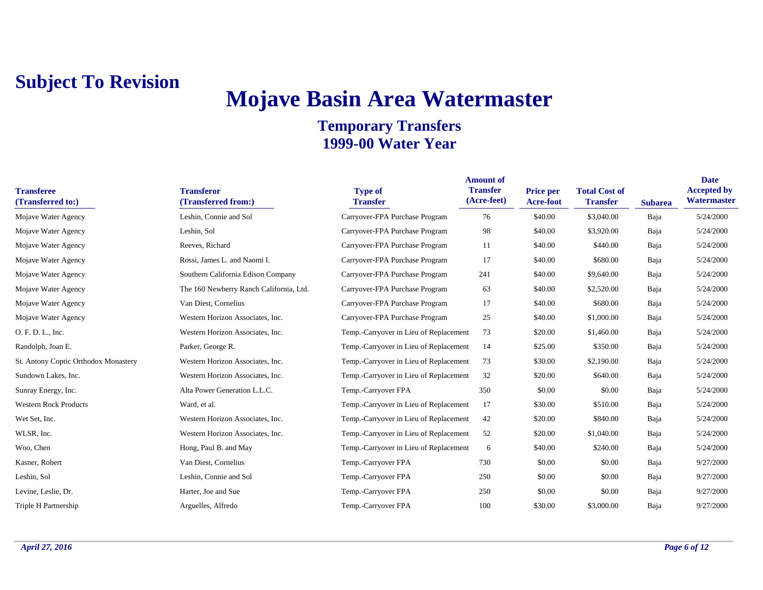## **Mojave Basin Area Watermaster**

| <b>Transferee</b><br>(Transferred to:) | <b>Transferor</b><br>(Transferred from:) | <b>Type of</b><br><b>Transfer</b>      | <b>Amount of</b><br><b>Transfer</b><br>(Acre-feet) | <b>Price per</b><br><b>Acre-foot</b> | <b>Total Cost of</b><br><b>Transfer</b> | <b>Subarea</b> | <b>Date</b><br><b>Accepted by</b><br>Watermaster |
|----------------------------------------|------------------------------------------|----------------------------------------|----------------------------------------------------|--------------------------------------|-----------------------------------------|----------------|--------------------------------------------------|
| Mojave Water Agency                    | Leshin, Connie and Sol                   | Carryover-FPA Purchase Program         | 76                                                 | \$40.00                              | \$3,040.00                              | Baja           | 5/24/2000                                        |
| Mojave Water Agency                    | Leshin, Sol                              | Carryover-FPA Purchase Program         | 98                                                 | \$40.00                              | \$3,920.00                              | Baja           | 5/24/2000                                        |
| Mojave Water Agency                    | Reeves, Richard                          | Carryover-FPA Purchase Program         | 11                                                 | \$40.00                              | \$440.00                                | Baja           | 5/24/2000                                        |
| Mojave Water Agency                    | Rossi, James L. and Naomi I.             | Carryover-FPA Purchase Program         | 17                                                 | \$40.00                              | \$680.00                                | Baja           | 5/24/2000                                        |
| Mojave Water Agency                    | Southern California Edison Company       | Carryover-FPA Purchase Program         | 241                                                | \$40.00                              | \$9,640.00                              | Baja           | 5/24/2000                                        |
| Mojave Water Agency                    | The 160 Newberry Ranch California, Ltd.  | Carryover-FPA Purchase Program         | 63                                                 | \$40.00                              | \$2,520.00                              | Baja           | 5/24/2000                                        |
| Mojave Water Agency                    | Van Diest, Cornelius                     | Carryover-FPA Purchase Program         | 17                                                 | \$40.00                              | \$680.00                                | Baja           | 5/24/2000                                        |
| Mojave Water Agency                    | Western Horizon Associates, Inc.         | Carryover-FPA Purchase Program         | 25                                                 | \$40.00                              | \$1,000.00                              | Baja           | 5/24/2000                                        |
| O. F. D. L., Inc.                      | Western Horizon Associates, Inc.         | Temp.-Carryover in Lieu of Replacement | 73                                                 | \$20.00                              | \$1,460.00                              | Baja           | 5/24/2000                                        |
| Randolph, Joan E.                      | Parker, George R.                        | Temp.-Carryover in Lieu of Replacement | 14                                                 | \$25.00                              | \$350.00                                | Baja           | 5/24/2000                                        |
| St. Antony Coptic Orthodox Monastery   | Western Horizon Associates, Inc.         | Temp.-Carryover in Lieu of Replacement | 73                                                 | \$30.00                              | \$2,190.00                              | Baja           | 5/24/2000                                        |
| Sundown Lakes, Inc.                    | Western Horizon Associates, Inc.         | Temp.-Carryover in Lieu of Replacement | 32                                                 | \$20.00                              | \$640.00                                | Baja           | 5/24/2000                                        |
| Sunray Energy, Inc.                    | Alta Power Generation L.L.C.             | Temp.-Carryover FPA                    | 350                                                | \$0.00                               | \$0.00                                  | Baja           | 5/24/2000                                        |
| <b>Western Rock Products</b>           | Ward, et al.                             | Temp.-Carryover in Lieu of Replacement | 17                                                 | \$30.00                              | \$510.00                                | Baja           | 5/24/2000                                        |
| Wet Set, Inc.                          | Western Horizon Associates, Inc.         | Temp.-Carryover in Lieu of Replacement | 42                                                 | \$20.00                              | \$840.00                                | Baja           | 5/24/2000                                        |
| WLSR, Inc.                             | Western Horizon Associates, Inc.         | Temp.-Carryover in Lieu of Replacement | 52                                                 | \$20.00                              | \$1,040.00                              | Baja           | 5/24/2000                                        |
| Woo, Chen                              | Hong, Paul B. and May                    | Temp.-Carryover in Lieu of Replacement | 6                                                  | \$40.00                              | \$240.00                                | Baja           | 5/24/2000                                        |
| Kasner, Robert                         | Van Diest, Cornelius                     | Temp.-Carryover FPA                    | 730                                                | \$0.00                               | \$0.00                                  | Baja           | 9/27/2000                                        |
| Leshin, Sol                            | Leshin, Connie and Sol                   | Temp.-Carryover FPA                    | 250                                                | \$0.00                               | \$0.00                                  | Baja           | 9/27/2000                                        |
| Levine, Leslie, Dr.                    | Harter, Joe and Sue                      | Temp.-Carryover FPA                    | 250                                                | \$0.00                               | \$0.00                                  | Baja           | 9/27/2000                                        |
| Triple H Partnership                   | Arguelles, Alfredo                       | Temp.-Carryover FPA                    | 100                                                | \$30.00                              | \$3,000.00                              | Baja           | 9/27/2000                                        |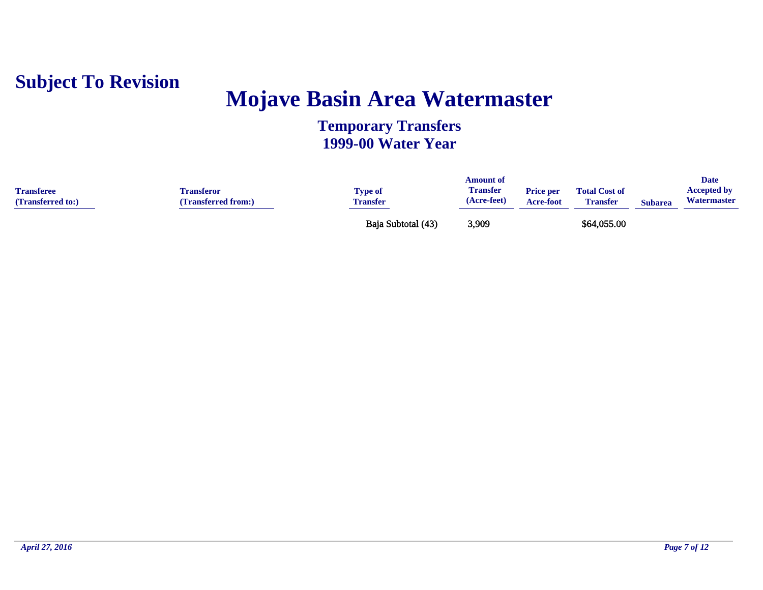

## **Mojave Basin Area Watermaster**

| <b>Transferee</b><br>(Transferred to:) | <b>Transferor</b><br>(Transferred from:) | Type of<br><b>Transfer</b> | Amount of<br><b>Transfer</b><br>(Acre-feet) | <b>Price per</b><br><b>Acre-foot</b> | <b>Total Cost of</b><br><b>Transfer</b> | <b>Subarea</b> | <b>Date</b><br><b>Accepted by</b><br>Watermaster |
|----------------------------------------|------------------------------------------|----------------------------|---------------------------------------------|--------------------------------------|-----------------------------------------|----------------|--------------------------------------------------|
|                                        |                                          | Baja Subtotal (43)         | 3,909                                       |                                      | \$64,055.00                             |                |                                                  |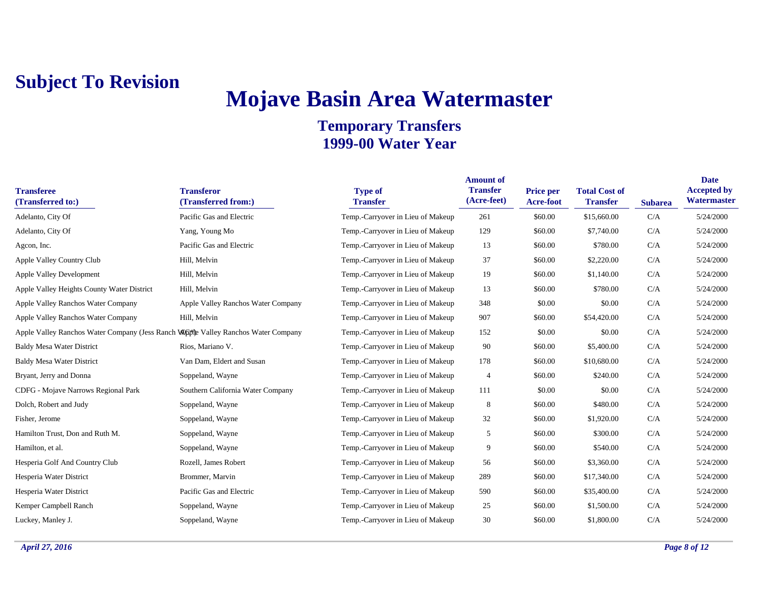## **Mojave Basin Area Watermaster**

| <b>Transferee</b><br>(Transferred to:)                                              | <b>Transferor</b><br>(Transferred from:) | <b>Type of</b><br><b>Transfer</b> | <b>Amount of</b><br><b>Transfer</b><br>(Acre-feet) | <b>Price per</b><br>Acre-foot | <b>Total Cost of</b><br><b>Transfer</b> | <b>Subarea</b> | <b>Date</b><br><b>Accepted by</b><br>Watermaster |
|-------------------------------------------------------------------------------------|------------------------------------------|-----------------------------------|----------------------------------------------------|-------------------------------|-----------------------------------------|----------------|--------------------------------------------------|
| Adelanto, City Of                                                                   | Pacific Gas and Electric                 | Temp.-Carryover in Lieu of Makeup | 261                                                | \$60.00                       | \$15,660.00                             | C/A            | 5/24/2000                                        |
| Adelanto, City Of                                                                   | Yang, Young Mo                           | Temp.-Carryover in Lieu of Makeup | 129                                                | \$60.00                       | \$7,740.00                              | C/A            | 5/24/2000                                        |
| Agcon, Inc.                                                                         | Pacific Gas and Electric                 | Temp.-Carryover in Lieu of Makeup | 13                                                 | \$60.00                       | \$780.00                                | C/A            | 5/24/2000                                        |
| Apple Valley Country Club                                                           | Hill, Melvin                             | Temp.-Carryover in Lieu of Makeup | 37                                                 | \$60.00                       | \$2,220.00                              | C/A            | 5/24/2000                                        |
| <b>Apple Valley Development</b>                                                     | Hill, Melvin                             | Temp.-Carryover in Lieu of Makeup | 19                                                 | \$60.00                       | \$1,140.00                              | C/A            | 5/24/2000                                        |
| Apple Valley Heights County Water District                                          | Hill, Melvin                             | Temp.-Carryover in Lieu of Makeup | 13                                                 | \$60.00                       | \$780.00                                | C/A            | 5/24/2000                                        |
| Apple Valley Ranchos Water Company                                                  | Apple Valley Ranchos Water Company       | Temp.-Carryover in Lieu of Makeup | 348                                                | \$0.00                        | \$0.00                                  | C/A            | 5/24/2000                                        |
| Apple Valley Ranchos Water Company                                                  | Hill, Melvin                             | Temp.-Carryover in Lieu of Makeup | 907                                                | \$60.00                       | \$54,420.00                             | C/A            | 5/24/2000                                        |
| Apple Valley Ranchos Water Company (Jess Ranch Wingthe Valley Ranchos Water Company |                                          | Temp.-Carryover in Lieu of Makeup | 152                                                | \$0.00                        | \$0.00                                  | C/A            | 5/24/2000                                        |
| <b>Baldy Mesa Water District</b>                                                    | Rios, Mariano V.                         | Temp.-Carryover in Lieu of Makeup | 90                                                 | \$60.00                       | \$5,400.00                              | C/A            | 5/24/2000                                        |
| <b>Baldy Mesa Water District</b>                                                    | Van Dam, Eldert and Susan                | Temp.-Carryover in Lieu of Makeup | 178                                                | \$60.00                       | \$10,680.00                             | C/A            | 5/24/2000                                        |
| Bryant, Jerry and Donna                                                             | Soppeland, Wayne                         | Temp.-Carryover in Lieu of Makeup | $\overline{4}$                                     | \$60.00                       | \$240.00                                | C/A            | 5/24/2000                                        |
| CDFG - Mojave Narrows Regional Park                                                 | Southern California Water Company        | Temp.-Carryover in Lieu of Makeup | 111                                                | \$0.00                        | \$0.00                                  | C/A            | 5/24/2000                                        |
| Dolch, Robert and Judy                                                              | Soppeland, Wayne                         | Temp.-Carryover in Lieu of Makeup | 8                                                  | \$60.00                       | \$480.00                                | C/A            | 5/24/2000                                        |
| Fisher, Jerome                                                                      | Soppeland, Wayne                         | Temp.-Carryover in Lieu of Makeup | 32                                                 | \$60.00                       | \$1,920.00                              | C/A            | 5/24/2000                                        |
| Hamilton Trust, Don and Ruth M.                                                     | Soppeland, Wayne                         | Temp.-Carryover in Lieu of Makeup | 5                                                  | \$60.00                       | \$300.00                                | C/A            | 5/24/2000                                        |
| Hamilton, et al.                                                                    | Soppeland, Wayne                         | Temp.-Carryover in Lieu of Makeup | 9                                                  | \$60.00                       | \$540.00                                | C/A            | 5/24/2000                                        |
| Hesperia Golf And Country Club                                                      | Rozell, James Robert                     | Temp.-Carryover in Lieu of Makeup | 56                                                 | \$60.00                       | \$3,360.00                              | C/A            | 5/24/2000                                        |
| Hesperia Water District                                                             | Brommer, Marvin                          | Temp.-Carryover in Lieu of Makeup | 289                                                | \$60.00                       | \$17,340.00                             | C/A            | 5/24/2000                                        |
| Hesperia Water District                                                             | Pacific Gas and Electric                 | Temp.-Carryover in Lieu of Makeup | 590                                                | \$60.00                       | \$35,400.00                             | C/A            | 5/24/2000                                        |
| Kemper Campbell Ranch                                                               | Soppeland, Wayne                         | Temp.-Carryover in Lieu of Makeup | 25                                                 | \$60.00                       | \$1,500.00                              | C/A            | 5/24/2000                                        |
| Luckey, Manley J.                                                                   | Soppeland, Wayne                         | Temp.-Carryover in Lieu of Makeup | 30                                                 | \$60.00                       | \$1,800.00                              | C/A            | 5/24/2000                                        |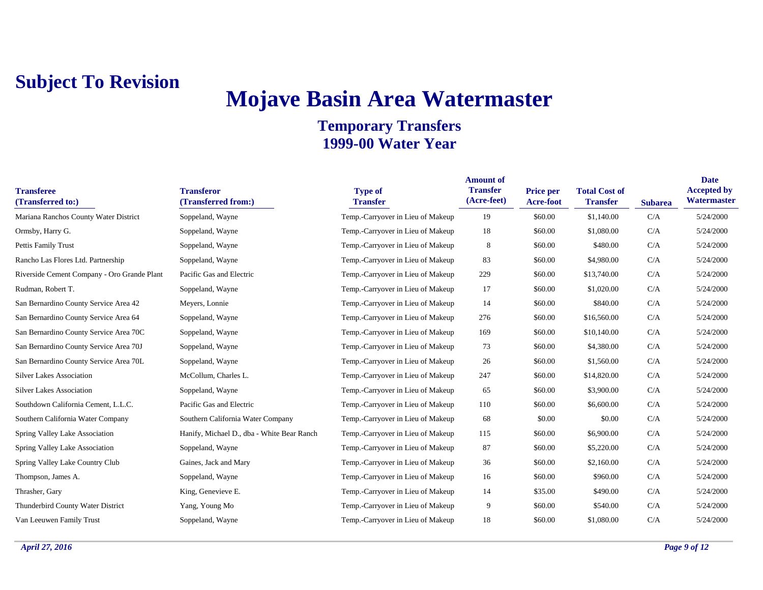## **Mojave Basin Area Watermaster**

| <b>Transferee</b><br>(Transferred to:)      | <b>Transferor</b><br>(Transferred from:)   | <b>Type of</b><br><b>Transfer</b> | <b>Amount of</b><br><b>Transfer</b><br>(Acre-feet) | <b>Price per</b><br><b>Acre-foot</b> | <b>Total Cost of</b><br><b>Transfer</b> | <b>Subarea</b> | <b>Date</b><br><b>Accepted by</b><br>Watermaster |
|---------------------------------------------|--------------------------------------------|-----------------------------------|----------------------------------------------------|--------------------------------------|-----------------------------------------|----------------|--------------------------------------------------|
| Mariana Ranchos County Water District       | Soppeland, Wayne                           | Temp.-Carryover in Lieu of Makeup | 19                                                 | \$60.00                              | \$1,140.00                              | C/A            | 5/24/2000                                        |
| Ormsby, Harry G.                            | Soppeland, Wayne                           | Temp.-Carryover in Lieu of Makeup | 18                                                 | \$60.00                              | \$1,080.00                              | C/A            | 5/24/2000                                        |
| Pettis Family Trust                         | Soppeland, Wayne                           | Temp.-Carryover in Lieu of Makeup | $\,8\,$                                            | \$60.00                              | \$480.00                                | C/A            | 5/24/2000                                        |
| Rancho Las Flores Ltd. Partnership          | Soppeland, Wayne                           | Temp.-Carryover in Lieu of Makeup | 83                                                 | \$60.00                              | \$4,980.00                              | C/A            | 5/24/2000                                        |
| Riverside Cement Company - Oro Grande Plant | Pacific Gas and Electric                   | Temp.-Carryover in Lieu of Makeup | 229                                                | \$60.00                              | \$13,740.00                             | C/A            | 5/24/2000                                        |
| Rudman, Robert T.                           | Soppeland, Wayne                           | Temp.-Carryover in Lieu of Makeup | 17                                                 | \$60.00                              | \$1,020.00                              | C/A            | 5/24/2000                                        |
| San Bernardino County Service Area 42       | Meyers, Lonnie                             | Temp.-Carryover in Lieu of Makeup | 14                                                 | \$60.00                              | \$840.00                                | C/A            | 5/24/2000                                        |
| San Bernardino County Service Area 64       | Soppeland, Wayne                           | Temp.-Carryover in Lieu of Makeup | 276                                                | \$60.00                              | \$16,560.00                             | C/A            | 5/24/2000                                        |
| San Bernardino County Service Area 70C      | Soppeland, Wayne                           | Temp.-Carryover in Lieu of Makeup | 169                                                | \$60.00                              | \$10,140.00                             | C/A            | 5/24/2000                                        |
| San Bernardino County Service Area 70J      | Soppeland, Wayne                           | Temp.-Carryover in Lieu of Makeup | 73                                                 | \$60.00                              | \$4,380.00                              | C/A            | 5/24/2000                                        |
| San Bernardino County Service Area 70L      | Soppeland, Wayne                           | Temp.-Carryover in Lieu of Makeup | 26                                                 | \$60.00                              | \$1,560.00                              | C/A            | 5/24/2000                                        |
| <b>Silver Lakes Association</b>             | McCollum, Charles L.                       | Temp.-Carryover in Lieu of Makeup | 247                                                | \$60.00                              | \$14,820.00                             | C/A            | 5/24/2000                                        |
| <b>Silver Lakes Association</b>             | Soppeland, Wayne                           | Temp.-Carryover in Lieu of Makeup | 65                                                 | \$60.00                              | \$3,900.00                              | C/A            | 5/24/2000                                        |
| Southdown California Cement, L.L.C.         | Pacific Gas and Electric                   | Temp.-Carryover in Lieu of Makeup | 110                                                | \$60.00                              | \$6,600.00                              | C/A            | 5/24/2000                                        |
| Southern California Water Company           | Southern California Water Company          | Temp.-Carryover in Lieu of Makeup | 68                                                 | \$0.00                               | \$0.00                                  | C/A            | 5/24/2000                                        |
| Spring Valley Lake Association              | Hanify, Michael D., dba - White Bear Ranch | Temp.-Carryover in Lieu of Makeup | 115                                                | \$60.00                              | \$6,900.00                              | C/A            | 5/24/2000                                        |
| Spring Valley Lake Association              | Soppeland, Wayne                           | Temp.-Carryover in Lieu of Makeup | 87                                                 | \$60.00                              | \$5,220.00                              | C/A            | 5/24/2000                                        |
| Spring Valley Lake Country Club             | Gaines, Jack and Mary                      | Temp.-Carryover in Lieu of Makeup | 36                                                 | \$60.00                              | \$2,160.00                              | C/A            | 5/24/2000                                        |
| Thompson, James A.                          | Soppeland, Wayne                           | Temp.-Carryover in Lieu of Makeup | 16                                                 | \$60.00                              | \$960.00                                | C/A            | 5/24/2000                                        |
| Thrasher, Gary                              | King, Genevieve E.                         | Temp.-Carryover in Lieu of Makeup | 14                                                 | \$35.00                              | \$490.00                                | C/A            | 5/24/2000                                        |
| Thunderbird County Water District           | Yang, Young Mo                             | Temp.-Carryover in Lieu of Makeup | 9                                                  | \$60.00                              | \$540.00                                | C/A            | 5/24/2000                                        |
| Van Leeuwen Family Trust                    | Soppeland, Wayne                           | Temp.-Carryover in Lieu of Makeup | 18                                                 | \$60.00                              | \$1,080.00                              | C/A            | 5/24/2000                                        |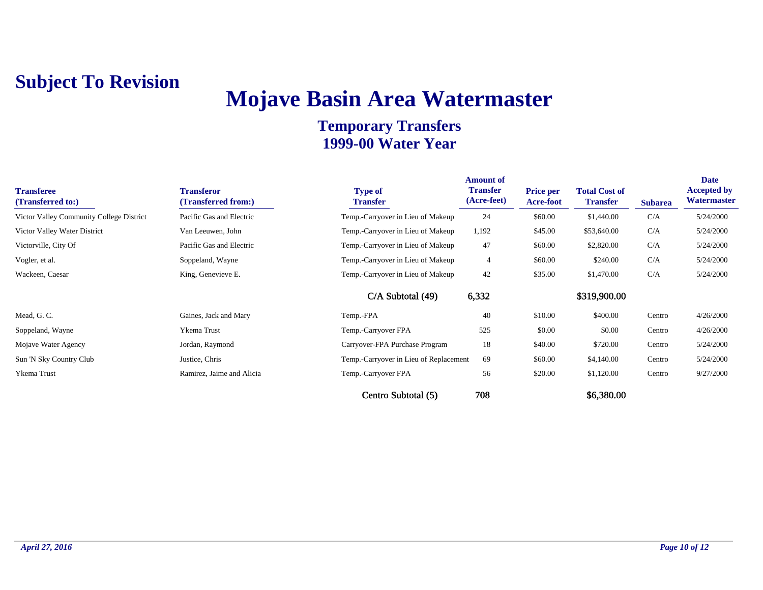## **Mojave Basin Area Watermaster**

| <b>Transferee</b><br>(Transferred to:)   | <b>Transferor</b><br>(Transferred from:) | <b>Type of</b><br><b>Transfer</b>      | <b>Amount of</b><br><b>Transfer</b><br>(Acre-feet) | <b>Price per</b><br><b>Acre-foot</b> | <b>Total Cost of</b><br><b>Transfer</b> | <b>Subarea</b> | <b>Date</b><br><b>Accepted by</b><br>Watermaster |
|------------------------------------------|------------------------------------------|----------------------------------------|----------------------------------------------------|--------------------------------------|-----------------------------------------|----------------|--------------------------------------------------|
| Victor Valley Community College District | Pacific Gas and Electric                 | Temp.-Carryover in Lieu of Makeup      | 24                                                 | \$60.00                              | \$1,440.00                              | C/A            | 5/24/2000                                        |
| Victor Valley Water District             | Van Leeuwen, John                        | Temp.-Carryover in Lieu of Makeup      | 1,192                                              | \$45.00                              | \$53,640.00                             | C/A            | 5/24/2000                                        |
| Victorville, City Of                     | Pacific Gas and Electric                 | Temp.-Carryover in Lieu of Makeup      | 47                                                 | \$60.00                              | \$2,820.00                              | C/A            | 5/24/2000                                        |
| Vogler, et al.                           | Soppeland, Wayne                         | Temp.-Carryover in Lieu of Makeup      | 4                                                  | \$60.00                              | \$240.00                                | C/A            | 5/24/2000                                        |
| Wackeen, Caesar                          | King, Genevieve E.                       | Temp.-Carryover in Lieu of Makeup      | 42                                                 | \$35.00                              | \$1,470.00                              | C/A            | 5/24/2000                                        |
|                                          |                                          | $C/A$ Subtotal $(49)$                  | 6,332                                              |                                      | \$319,900.00                            |                |                                                  |
| Mead, G. C.                              | Gaines, Jack and Mary                    | Temp.-FPA                              | 40                                                 | \$10.00                              | \$400.00                                | Centro         | 4/26/2000                                        |
| Soppeland, Wayne                         | Ykema Trust                              | Temp.-Carryover FPA                    | 525                                                | \$0.00                               | \$0.00                                  | Centro         | 4/26/2000                                        |
| Mojave Water Agency                      | Jordan, Raymond                          | Carryover-FPA Purchase Program         | 18                                                 | \$40.00                              | \$720.00                                | Centro         | 5/24/2000                                        |
| Sun 'N Sky Country Club                  | Justice, Chris                           | Temp.-Carryover in Lieu of Replacement | 69                                                 | \$60.00                              | \$4,140.00                              | Centro         | 5/24/2000                                        |
| Ykema Trust                              | Ramirez, Jaime and Alicia                | Temp.-Carryover FPA                    | 56                                                 | \$20.00                              | \$1,120.00                              | Centro         | 9/27/2000                                        |
|                                          |                                          | Centro Subtotal (5)                    | 708                                                |                                      | \$6,380.00                              |                |                                                  |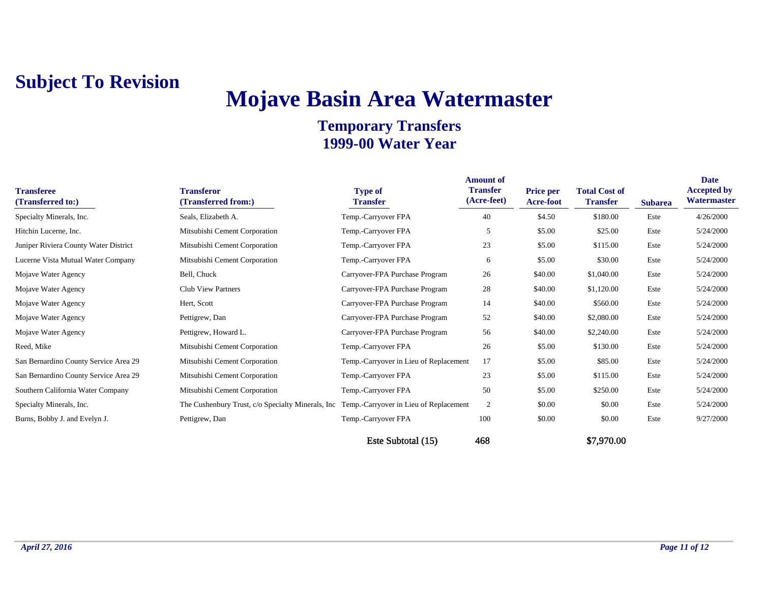## **Mojave Basin Area Watermaster**

| <b>Transferee</b><br>(Transferred to:) | <b>Transferor</b><br>(Transferred from:)           | <b>Type of</b><br><b>Transfer</b>      | <b>Amount of</b><br><b>Transfer</b><br>(Acre-feet) | <b>Price per</b><br>Acre-foot | <b>Total Cost of</b><br><b>Transfer</b> | <b>Subarea</b> | Date<br><b>Accepted by</b><br>Watermaster |
|----------------------------------------|----------------------------------------------------|----------------------------------------|----------------------------------------------------|-------------------------------|-----------------------------------------|----------------|-------------------------------------------|
| Specialty Minerals, Inc.               | Seals, Elizabeth A.                                | Temp.-Carryover FPA                    | 40                                                 | \$4.50                        | \$180.00                                | Este           | 4/26/2000                                 |
| Hitchin Lucerne, Inc.                  | Mitsubishi Cement Corporation                      | Temp.-Carryover FPA                    | 5                                                  | \$5.00                        | \$25.00                                 | Este           | 5/24/2000                                 |
| Juniper Riviera County Water District  | Mitsubishi Cement Corporation                      | Temp.-Carryover FPA                    | 23                                                 | \$5.00                        | \$115.00                                | Este           | 5/24/2000                                 |
| Lucerne Vista Mutual Water Company     | Mitsubishi Cement Corporation                      | Temp.-Carryover FPA                    | 6                                                  | \$5.00                        | \$30.00                                 | Este           | 5/24/2000                                 |
| Mojave Water Agency                    | Bell, Chuck                                        | Carryover-FPA Purchase Program         | 26                                                 | \$40.00                       | \$1,040.00                              | Este           | 5/24/2000                                 |
| Mojave Water Agency                    | <b>Club View Partners</b>                          | Carryover-FPA Purchase Program         | 28                                                 | \$40.00                       | \$1,120.00                              | Este           | 5/24/2000                                 |
| Mojave Water Agency                    | Hert, Scott                                        | Carryover-FPA Purchase Program         | 14                                                 | \$40.00                       | \$560.00                                | Este           | 5/24/2000                                 |
| Mojave Water Agency                    | Pettigrew, Dan                                     | Carryover-FPA Purchase Program         | 52                                                 | \$40.00                       | \$2,080.00                              | Este           | 5/24/2000                                 |
| Mojave Water Agency                    | Pettigrew, Howard L.                               | Carryover-FPA Purchase Program         | 56                                                 | \$40.00                       | \$2,240.00                              | Este           | 5/24/2000                                 |
| Reed, Mike                             | Mitsubishi Cement Corporation                      | Temp.-Carryover FPA                    | 26                                                 | \$5.00                        | \$130.00                                | Este           | 5/24/2000                                 |
| San Bernardino County Service Area 29  | Mitsubishi Cement Corporation                      | Temp.-Carryover in Lieu of Replacement | 17                                                 | \$5.00                        | \$85.00                                 | Este           | 5/24/2000                                 |
| San Bernardino County Service Area 29  | Mitsubishi Cement Corporation                      | Temp.-Carryover FPA                    | 23                                                 | \$5.00                        | \$115.00                                | Este           | 5/24/2000                                 |
| Southern California Water Company      | Mitsubishi Cement Corporation                      | Temp.-Carryover FPA                    | 50                                                 | \$5.00                        | \$250.00                                | Este           | 5/24/2000                                 |
| Specialty Minerals, Inc.               | The Cushenbury Trust, c/o Specialty Minerals, Inc. | Temp.-Carryover in Lieu of Replacement | $\overline{2}$                                     | \$0.00                        | \$0.00                                  | Este           | 5/24/2000                                 |
| Burns, Bobby J. and Evelyn J.          | Pettigrew, Dan                                     | Temp.-Carryover FPA                    | 100                                                | \$0.00                        | \$0.00                                  | Este           | 9/27/2000                                 |
|                                        |                                                    | Este Subtotal (15)                     | 468                                                |                               | \$7,970.00                              |                |                                           |